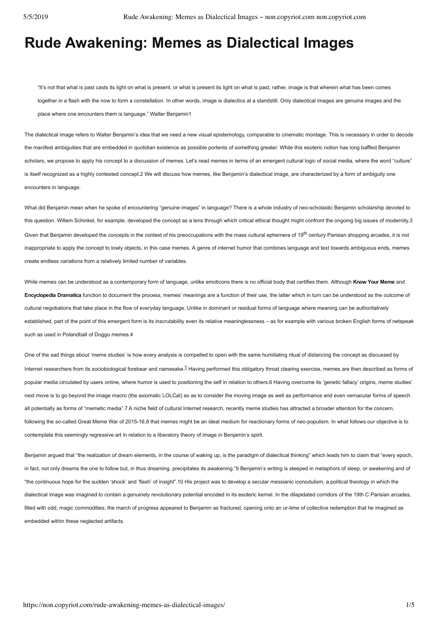# **Rude Awakening: Memes as Dialectical Images**

"It's not that what is past casts its light on what is present, or what is present its light on what is past; rather, image is that wherein what has been comes together in a flash with the now to form a constellation. In other words, image is dialectics at a standstill. Only dialectical images are genuine images and the place where one encounters them is language." Walter Benjamin1

The dialectical image refers to Walter Benjamin's idea that we need a new visual epistemology, comparable to cinematic montage. This is necessary in order to decode the manifest ambiguities that are embedded in quotidian existence as possible portents of something greater. While this esoteric notion has long baffled Benjamin scholars, we propose to apply his concept to a discussion of memes. Let's read memes in terms of an emergent cultural logic of social media, where the word "culture" is itself recognized as a highly contested concept.2 We will discuss how memes, like Benjamin's dialectical image, are characterized by a form of ambiguity one encounters in language.

What did Benjamin mean when he spoke of encountering "genuine images" in language? There is a whole industry of neo-scholastic Benjamin scholarship devoted to this question. Willem Schinkel, for example, developed the concept as a lens through which critical ethical thought might confront the ongoing big issues of modernity.3 Given that Benjamin developed the concepts in the context of his preoccupations with the mass cultural ephemera of 19<sup>th</sup> century Parisian shopping arcades, it is not inappropriate to apply the concept to lowly objects, in this case memes. A genre of internet humor that combines language and text towards ambiguous ends, memes create endless variations from a relatively limited number of variables.

While memes can be understood as a contemporary form of language, unlike emoticons there is no official body that certifies them. Although **Know Your Meme** and **Encyclopedia Dramatica** function to document the process, memes' meanings are a function of their use, the latter which in turn can be understood as the outcome of cultural negotiations that take place in the flow of everyday language. Unlike in dominant or residual forms of language where meaning can be authoritatively established, part of the point of this emergent form is its inscrutability even its relative meaninglessness - as for example with various broken English forms of netspeak such as used in Polandball of Doggo memes.4

One of the sad things about 'meme studies' is how every analysis is compelled to open with the same humiliating ritual of distancing the concept as discussed by Internet researchers from its sociobiological forebear and namesake.<sup>5</sup> Having performed this obligatory throat clearing exercise, memes are then described as forms of popular media circulated by users online, where humor is used to positioning the self in relation to others.6 Having overcome its 'genetic fallacy' origins, meme studies' next move is to go beyond the image macro (the axiomatic LOLCat) so as to consider the moving image as well as performance and even vernacular forms of speech all potentially as forms of "memetic media".7 A niche field of cultural Internet research, recently meme studies has attracted a broader attention for the concern, following the so-called Great Meme War of 2015-16,8 that memes might be an ideal medium for reactionary forms of neo-populism. In what follows our objective is to contemplate this seemingly regressive art in relation to a liberatory theory of image in Benjamin's spirit.

Benjamin argued that "the realization of dream elements, in the course of waking up, is the paradigm of dialectical thinking" which leads him to claim that "every epoch, in fact, not only dreams the one to follow but, in thus dreaming, precipitates its awakening."9 Benjamin's writing is steeped in metaphors of sleep, or awakening and of "the continuous hope for the sudden 'shock' and 'flash' of insight".10 His project was to develop a secular messianic iconodulism, a political theology in which the dialectical image was imagined to contain a genuinely revolutionary potential encoded in its esoteric kernel. In the dilapidated corridors of the 19th C Parisian arcades, filled with odd, magic commodities, the march of progress appeared to Benjamin as fractured, opening onto an ur-time of collective redemption that he imagined as embedded within these neglected artifacts.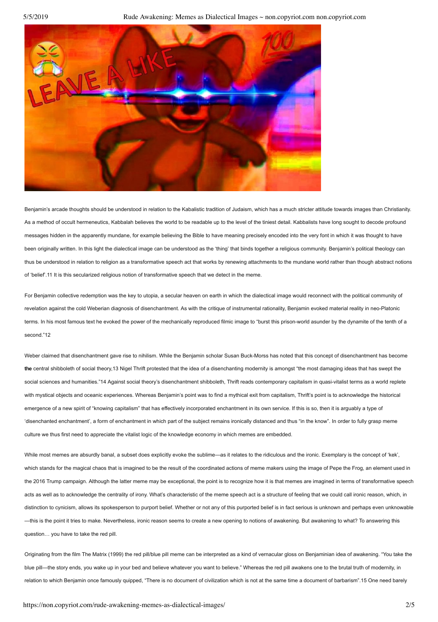5/5/2019 Rude Awakening: Memes as Dialectical Images ~ non.copyriot.com non.copyriot.com



Benjamin's arcade thoughts should be understood in relation to the Kabalistic tradition of Judaism, which has a much stricter attitude towards images than Christianity. As a method of occult hermeneutics, Kabbalah believes the world to be readable up to the level of the tiniest detail. Kabbalists have long sought to decode profound messages hidden in the apparently mundane, for example believing the Bible to have meaning precisely encoded into the very font in which it was thought to have been originally written. In this light the dialectical image can be understood as the 'thing' that binds together a religious community. Benjamin's political theology can thus be understood in relation to religion as a transformative speech act that works by renewing attachments to the mundane world rather than though abstract notions of 'belief'.11 It is this secularized religious notion of transformative speech that we detect in the meme.

For Benjamin collective redemption was the key to utopia, a secular heaven on earth in which the dialectical image would reconnect with the political community of revelation against the cold Weberian diagnosis of disenchantment. As with the critique of instrumental rationality, Benjamin evoked material reality in neo-Platonic terms. In his most famous text he evoked the power of the mechanically reproduced filmic image to "burst this prison-world asunder by the dynamite of the tenth of a second."12

Weber claimed that disenchantment gave rise to nihilism. While the Benjamin scholar Susan Buck-Morss has noted that this concept of disenchantment has become **the** central shibboleth of social theory,13 Nigel Thrift protested that the idea of a disenchanting modernity is amongst "the most damaging ideas that has swept the social sciences and humanities."14 Against social theory's disenchantment shibboleth. Thrift reads contemporary capitalism in quasi-vitalist terms as a world replete with mystical objects and oceanic experiences. Whereas Benjamin's point was to find a mythical exit from capitalism, Thrift's point is to acknowledge the historical emergence of a new spirit of "knowing capitalism" that has effectively incorporated enchantment in its own service. If this is so, then it is arguably a type of 'disenchanted enchantment', a form of enchantment in which part of the subject remains ironically distanced and thus "in the know". In order to fully grasp meme culture we thus first need to appreciate the vitalist logic of the knowledge economy in which memes are embedded.

While most memes are absurdly banal, a subset does explicitly evoke the sublime—as it relates to the ridiculous and the ironic. Exemplary is the concept of 'kek', which stands for the magical chaos that is imagined to be the result of the coordinated actions of meme makers using the image of Pepe the Frog, an element used in the 2016 Trump campaign. Although the latter meme may be exceptional, the point is to recognize how it is that memes are imagined in terms of transformative speech acts as well as to acknowledge the centrality of irony. What's characteristic of the meme speech act is a structure of feeling that we could call ironic reason, which, in distinction to cynicism, allows its spokesperson to purport belief. Whether or not any of this purported belief is in fact serious is unknown and perhaps even unknowable —this is the point it tries to make. Nevertheless, ironic reason seems to create a new opening to notions of awakening. But awakening to what? To answering this question… you have to take the red pill.

Originating from the film The Matrix (1999) the red pill/blue pill meme can be interpreted as a kind of vernacular gloss on Benjaminian idea of awakening. "You take the blue pill—the story ends, you wake up in your bed and believe whatever you want to believe." Whereas the red pill awakens one to the brutal truth of modernity, in relation to which Benjamin once famously quipped, "There is no document of civilization which is not at the same time a document of barbarism".15 One need barely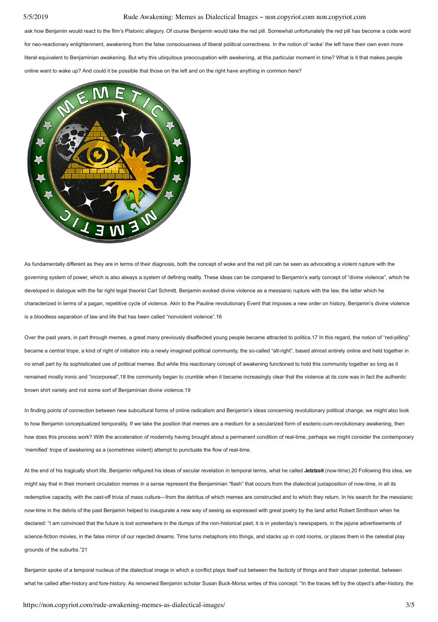### 5/5/2019 Rude Awakening: Memes as Dialectical Images ~ non.copyriot.com non.copyriot.com

ask how Benjamin would react to the film's Platonic allegory. Of course Benjamin would take the red pill. Somewhat unfortunately the red pill has become a code word for neo-reactionary enlightenment, awakening from the false consciousness of liberal political correctness. In the notion of 'woke' the left have their own even more literal equivalent to Benjaminian awakening. But why this ubiquitous preoccupation with awakening, at this particular moment in time? What is it that makes people online want to wake up? And could it be possible that those on the left and on the right have anything in common here?



As fundamentally different as they are in terms of their diagnosis, both the concept of woke and the red pill can be seen as advocating a violent rupture with the governing system of power, which is also always a system of defining reality. These ideas can be compared to Benjamin's early concept of "divine violence", which he developed in dialogue with the far right legal theorist Carl Schmitt. Benjamin evoked divine violence as a messianic rupture with the law, the latter which he characterized in terms of a pagan, repetitive cycle of violence. Akin to the Pauline revolutionary Event that imposes a new order on history, Benjamin's divine violence is a bloodless separation of law and life that has been called "nonviolent violence".16

Over the past years, in part through memes, a great many previously disaffected young people became attracted to politics.17 In this regard, the notion of "red-pilling" became a central trope, a kind of right of initiation into a newly imagined political community, the so-called "alt-right", based almost entirely online and held together in no small part by its sophisticated use of political memes. But while this reactionary concept of awakening functioned to hold this community together so long as it remained mostly ironic and "incorporeal",18 the community began to crumble when it became increasingly clear that the violence at its core was in fact the authentic brown shirt variety and not some sort of Benjaminian divine violence.19

In finding points of connection between new subcultural forms of online radicalism and Benjamin's ideas concerning revolutionary political change, we might also look to how Benjamin conceptualized temporality. If we take the position that memes are a medium for a secularized form of esoteric-cum-revolutionary awakening, then how does this process work? With the acceleration of modernity having brought about a permanent condition of real-time, perhaps we might consider the contemporary 'memified' trope of awakening as a (sometimes violent) attempt to punctuate the flow of real-time.

At the end of his tragically short life, Benjamin refigured his ideas of secular revelation in temporal terms, what he called Jetzteit (now-time).20 Following this idea, we might say that in their moment circulation memes in a sense represent the Benjaminian "flash" that occurs from the dialectical juxtaposition of nowtime, in all its redemptive capacity, with the cast-off trivia of mass culture—from the detritus of which memes are constructed and to which they return. In his search for the messianic nowtime in the debris of the past Benjamin helped to inaugurate a new way of seeing as expressed with great poetry by the land artist Robert Smithson when he declared: "I am convinced that the future is lost somewhere in the dumps of the non-historical past; it is in yesterday's newspapers, in the jejune advertisements of science-fiction movies, in the false mirror of our rejected dreams. Time turns metaphors into things, and stacks up in cold rooms, or places them in the celestial play grounds of the suburbs."21

Benjamin spoke of a temporal nucleus of the dialectical image in which a conflict plays itself out between the facticity of things and their utopian potential, between what he called after-history and fore-history. As renowned Benjamin scholar Susan Buck-Morss writes of this concept: "In the traces left by the object's after-history, the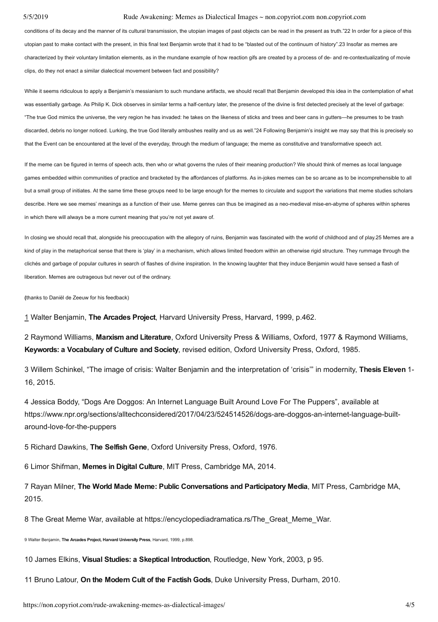### 5/5/2019 Rude Awakening: Memes as Dialectical Images ~ non.copyriot.com non.copyriot.com

conditions of its decay and the manner of its cultural transmission, the utopian images of past objects can be read in the present as truth."22 In order for a piece of this utopian past to make contact with the present, in this final text Benjamin wrote that it had to be "blasted out of the continuum of history". 23 Insofar as memes are characterized by their voluntary limitation elements, as in the mundane example of how reaction gifs are created by a process of de- and re-contextualizating of movie clips, do they not enact a similar dialectical movement between fact and possibility?

While it seems ridiculous to apply a Benjamin's messianism to such mundane artifacts, we should recall that Benjamin developed this idea in the contemplation of what was essentially garbage. As Philip K. Dick observes in similar terms a half-century later, the presence of the divine is first detected precisely at the level of garbage: "The true God mimics the universe, the very region he has invaded: he takes on the likeness of sticks and trees and beer cans in gutters—he presumes to be trash discarded, debris no longer noticed. Lurking, the true God literally ambushes reality and us as well."24 Following Benjamin's insight we may say that this is precisely so that the Event can be encountered at the level of the everyday, through the medium of language; the meme as constitutive and transformative speech act.

If the meme can be figured in terms of speech acts, then who or what governs the rules of their meaning production? We should think of memes as local language games embedded within communities of practice and bracketed by the affordances of platforms. As in-jokes memes can be so arcane as to be incomprehensible to all but a small group of initiates. At the same time these groups need to be large enough for the memes to circulate and support the variations that meme studies scholars describe. Here we see memes' meanings as a function of their use. Meme genres can thus be imagined as a neo-medieval mise-en-abyme of spheres within spheres in which there will always be a more current meaning that you're not yet aware of.

In closing we should recall that, alongside his preoccupation with the allegory of ruins, Benjamin was fascinated with the world of childhood and of play.25 Memes are a kind of play in the metaphorical sense that there is 'play' in a mechanism, which allows limited freedom within an otherwise rigid structure. They rummage through the clichés and garbage of popular cultures in search of flashes of divine inspiration. In the knowing laughter that they induce Benjamin would have sensed a flash of liberation. Memes are outrageous but never out of the ordinary.

**(**thanks to Daniël de Zeeuw for his feedback)

1 Walter Benjamin, **The Arcades Project**, Harvard University Press, Harvard, 1999, p.462.

2 Raymond Williams, **Marxism and Literature**, Oxford University Press & Williams, Oxford, 1977 & Raymond Williams, **Keywords: a Vocabulary of Culture and Society**, revised edition, Oxford University Press, Oxford, 1985.

3 Willem Schinkel, "The image of crisis: Walter Benjamin and the interpretation of 'crisis'" in modernity, **Thesis Eleven** 1 16, 2015.

4 Jessica Boddy, "Dogs Are Doggos: An Internet Language Built Around Love For The Puppers", available at https://www.npr.org/sections/alltechconsidered/2017/04/23/524514526/dogs-are-doggos-an-internet-language-builtaround-love-for-the-puppers

5 Richard Dawkins, **The Selfish Gene**, Oxford University Press, Oxford, 1976.

6 Limor Shifman, **Memes in Digital Culture**, MIT Press, Cambridge MA, 2014.

7 Rayan Milner, **The World Made Meme: Public Conversations and Participatory Media**, MIT Press, Cambridge MA, 2015.

8 The Great Meme War, available at https://encyclopediadramatica.rs/The Great Meme\_War.

9 Walter Benjamin, **The Arcades Project, Harvard University Press**, Harvard, 1999, p.898.

10 James Elkins, **Visual Studies: a Skeptical Introduction**, Routledge, New York, 2003, p 95.

11 Bruno Latour, **On the Modern Cult of the Factish Gods**, Duke University Press, Durham, 2010.